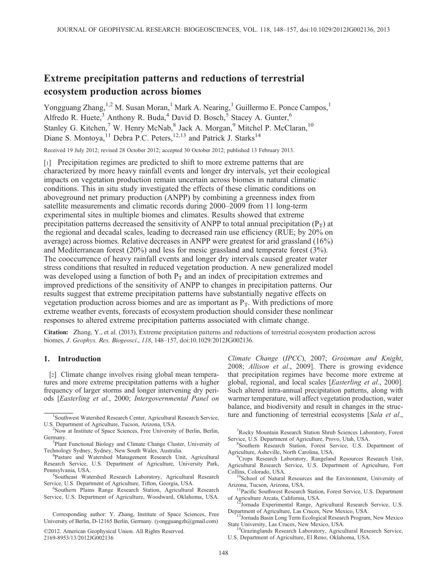# Extreme precipitation patterns and reductions of terrestrial ecosystem production across biomes

Yongguang Zhang,<sup>1,2</sup> M. Susan Moran,<sup>1</sup> Mark A. Nearing,<sup>1</sup> Guillermo E. Ponce Campos,<sup>1</sup> Alfredo R. Huete,<sup>3</sup> Anthony R. Buda,<sup>4</sup> David D. Bosch,<sup>5</sup> Stacey A. Gunter,<sup>6</sup> Stanley G. Kitchen,<sup>7</sup> W. Henry McNab,<sup>8</sup> Jack A. Morgan,<sup>9</sup> Mitchel P. McClaran,<sup>10</sup> Diane S. Montoya, <sup>11</sup> Debra P.C. Peters, <sup>12, 13</sup> and Patrick J. Starks<sup>14</sup>

Received 19 July 2012; revised 28 October 2012; accepted 30 October 2012; published 13 February 2013.

[1] Precipitation regimes are predicted to shift to more extreme patterns that are characterized by more heavy rainfall events and longer dry intervals, yet their ecological impacts on vegetation production remain uncertain across biomes in natural climatic conditions. This in situ study investigated the effects of these climatic conditions on aboveground net primary production (ANPP) by combining a greenness index from satellite measurements and climatic records during 2000–2009 from 11 long-term experimental sites in multiple biomes and climates. Results showed that extreme precipitation patterns decreased the sensitivity of ANPP to total annual precipitation ( $P_T$ ) at the regional and decadal scales, leading to decreased rain use efficiency (RUE; by 20% on average) across biomes. Relative decreases in ANPP were greatest for arid grassland (16%) and Mediterranean forest (20%) and less for mesic grassland and temperate forest (3%). The cooccurrence of heavy rainfall events and longer dry intervals caused greater water stress conditions that resulted in reduced vegetation production. A new generalized model was developed using a function of both  $P_T$  and an index of precipitation extremes and improved predictions of the sensitivity of ANPP to changes in precipitation patterns. Our results suggest that extreme precipitation patterns have substantially negative effects on vegetation production across biomes and are as important as  $P<sub>T</sub>$ . With predictions of more extreme weather events, forecasts of ecosystem production should consider these nonlinear responses to altered extreme precipitation patterns associated with climate change.

Citation: Zhang, Y., et al. (2013), Extreme precipitation patterns and reductions of terrestrial ecosystem production across biomes, J. Geophys. Res. Biogeosci., 118, 148–157, doi:10.1029/2012JG002136.

### 1. Introduction

[2] Climate change involves rising global mean temperatures and more extreme precipitation patterns with a higher frequency of larger storms and longer intervening dry periods [Easterling et al., 2000; Intergovernmental Panel on

<sup>5</sup>Southeast Watershed Research Laboratory, Agricultural Research Service, U.S. Department of Agriculture, Tifton, Georgia, USA.

Southern Plains Range Research Station, Agricultural Research Service, U.S. Department of Agriculture, Woodward, Oklahoma, USA.

Corresponding author: Y. Zhang, Institute of Space Sciences, Free University of Berlin, D-12165 Berlin, Germany. (yongguangzh@gmail.com)

©2012. American Geophysical Union. All Rights Reserved. 2169-8953/13/2012JG002136

Climate Change (IPCC), 2007; Groisman and Knight, 2008; Allison et al., 2009]. There is growing evidence that precipitation regimes have become more extreme at global, regional, and local scales [Easterling et al., 2000]. Such altered intra-annual precipitation patterns, along with warmer temperature, will affect vegetation production, water balance, and biodiversity and result in changes in the struc- $\frac{1}{1}$ Southwest Watershed Research Center, Agricultural Research Service, ture and functioning of terrestrial ecosystems [Sala et al.,

> 7 Rocky Mountain Research Station Shrub Sciences Laboratory, Forest Service, U.S. Department of Agriculture, Provo, Utah, USA.

> Southern Research Station, Forest Service, U.S. Department of Agriculture, Asheville, North Carolina, USA. <sup>9</sup>

Collins, Colorado, USA. 10School of Natural Resources and the Environment, University of Arizona, Tucson, Arizona, USA.

<sup>11</sup> Pacific Southwest Research Station, Forest Service, U.S. Department

of Agriculture Arcata, California, USA. <sup>12</sup>Jornada Experimental Range, Agricultural Research Service, U.S. Department of Agriculture, Las Cruces, New Mexico, USA.

<sup>3</sup>Jornada Basin Long Term Ecological Research Program, New Mexico State University, Las Cruces, New Mexico, USA. 14Grazinglands Research Laboratory, Agricultural Research Service,

U.S. Department of Agriculture, El Reno, Oklahoma, USA.

U.S. Department of Agriculture, Tucson, Arizona, USA. <sup>2</sup>

<sup>&</sup>lt;sup>2</sup>Now at Institute of Space Sciences, Free University of Berlin, Berlin, Germany.

<sup>&</sup>lt;sup>3</sup>Plant Functional Biology and Climate Change Cluster, University of Technology Sydney, Sydney, New South Wales, Australia. <sup>4</sup>

Pasture and Watershed Management Research Unit, Agricultural Research Service, U.S. Department of Agriculture, University Park, Pennsylvania, USA.

Crops Research Laboratory, Rangeland Resources Research Unit, Agricultural Research Service, U.S. Department of Agriculture, Fort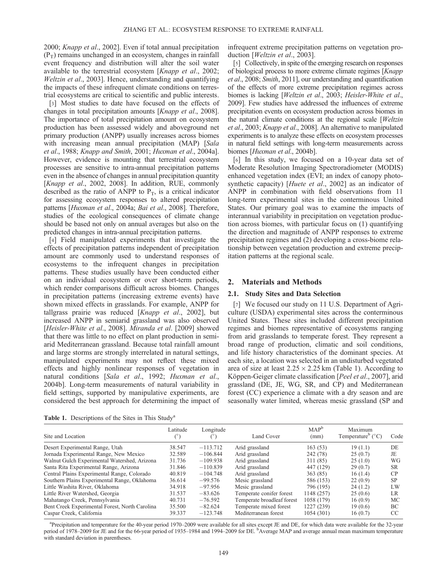2000; Knapp et al., 2002]. Even if total annual precipitation  $(P_T)$  remains unchanged in an ecosystem, changes in rainfall event frequency and distribution will alter the soil water available to the terrestrial ecosystem [Knapp et al., 2002; Weltzin et al., 2003]. Hence, understanding and quantifying the impacts of these infrequent climate conditions on terrestrial ecosystems are critical to scientific and public interests.

[3] Most studies to date have focused on the effects of changes in total precipitation amounts [Knapp et al., 2008]. The importance of total precipitation amount on ecosystem production has been assessed widely and aboveground net primary production (ANPP) usually increases across biomes with increasing mean annual precipitation (MAP) [Sala et al., 1988; Knapp and Smith, 2001; Huxman et al., 2004a]. However, evidence is mounting that terrestrial ecosystem processes are sensitive to intra-annual precipitation patterns even in the absence of changes in annual precipitation quantity [Knapp et al., 2002, 2008]. In addition, RUE, commonly described as the ratio of ANPP to  $P_T$ , is a critical indicator for assessing ecosystem responses to altered precipitation patterns [Huxman et al., 2004a; Bai et al., 2008]. Therefore, studies of the ecological consequences of climate change should be based not only on annual averages but also on the predicted changes in intra-annual precipitation patterns.

[4] Field manipulated experiments that investigate the effects of precipitation patterns independent of precipitation amount are commonly used to understand responses of ecosystems to the infrequent changes in precipitation patterns. These studies usually have been conducted either on an individual ecosystem or over short-term periods, which render comparisons difficult across biomes. Changes in precipitation patterns (increasing extreme events) have shown mixed effects in grasslands. For example, ANPP for tallgrass prairie was reduced [Knapp et al., 2002], but increased ANPP in semiarid grassland was also observed [Heisler-White et al., 2008]. Miranda et al. [2009] showed that there was little to no effect on plant production in semiarid Mediterranean grassland. Because total rainfall amount and large storms are strongly interrelated in natural settings, manipulated experiments may not reflect these mixed effects and highly nonlinear responses of vegetation in natural conditions [Sala et al., 1992; Huxman et al., 2004b]. Long-term measurements of natural variability in field settings, supported by manipulative experiments, are considered the best approach for determining the impact of

Table 1. Descriptions of the Sites in This Study<sup>a</sup>

infrequent extreme precipitation patterns on vegetation production [Weltzin et al., 2003].

[5] Collectively, in spite of the emerging research on responses of biological process to more extreme climate regimes [Knapp et al., 2008; Smith, 2011], our understanding and quantification of the effects of more extreme precipitation regimes across biomes is lacking [Weltzin et al., 2003; Heisler-White et al., 2009]. Few studies have addressed the influences of extreme precipitation events on ecosystem production across biomes in the natural climate conditions at the regional scale [Weltzin et al., 2003; Knapp et al., 2008]. An alternative to manipulated experiments is to analyze these effects on ecosystem processes in natural field settings with long-term measurements across biomes [Huxman et al., 2004b].

[6] In this study, we focused on a 10-year data set of Moderate Resolution Imaging Spectroradiometer (MODIS) enhanced vegetation index (EVI; an index of canopy photosynthetic capacity) [*Huete et al.*, 2002] as an indicator of ANPP in combination with field observations from 11 long-term experimental sites in the conterminous United States. Our primary goal was to examine the impacts of interannual variability in precipitation on vegetation production across biomes, with particular focus on (1) quantifying the direction and magnitude of ANPP responses to extreme precipitation regimes and (2) developing a cross-biome relationship between vegetation production and extreme precipitation patterns at the regional scale.

## 2. Materials and Methods

#### 2.1. Study Sites and Data Selection

[7] We focused our study on 11 U.S. Department of Agriculture (USDA) experimental sites across the conterminous United States. These sites included different precipitation regimes and biomes representative of ecosystems ranging from arid grasslands to temperate forest. They represent a broad range of production, climatic and soil conditions, and life history characteristics of the dominant species. At each site, a location was selected in an undisturbed vegetated area of size at least  $2.25 \times 2.25$  km (Table 1). According to Köppen-Geiger climate classification [Peel et al., 2007], arid grassland (DE, JE, WG, SR, and CP) and Mediterranean forest (CC) experience a climate with a dry season and are seasonally water limited, whereas mesic grassland (SP and

| Site and Location                              | Latitude<br>$(^\circ)$ | Longitude<br>$(\degree)$ | Land Cover                 | $MAP^b$<br>(mm) | Maximum<br>Temperature <sup>b</sup> $(^{\circ}C)$ | Code          |
|------------------------------------------------|------------------------|--------------------------|----------------------------|-----------------|---------------------------------------------------|---------------|
| Desert Experimental Range, Utah                | 38.547                 | $-113.712$               | Arid grassland             | 163(53)         | 19(1.1)                                           | DE            |
| Jornada Experimental Range, New Mexico         | 32.589                 | $-106.844$               | Arid grassland             | 242 (78)        | 25(0.7)                                           | JE            |
| Walnut Gulch Experimental Watershed, Arizona   | 31.736                 | $-109.938$               | Arid grassland             | 311 (85)        | 25(1.0)                                           | WG            |
| Santa Rita Experimental Range, Arizona         | 31.846                 | $-110.839$               | Arid grassland             | 447 (129)       | 29(0.7)                                           | <b>SR</b>     |
| Central Plains Experimental Range, Colorado    | 40.819                 | $-104.748$               | Arid grassland             | 363(85)         | 16(1.4)                                           | CP            |
| Southern Plains Experimental Range, Oklahoma   | 36.614                 | $-99.576$                | Mesic grassland            | 586 (153)       | 22(0.9)                                           | <b>SP</b>     |
| Little Washita River, Oklahoma                 | 34.918                 | $-97.956$                | Mesic grassland            | 796 (195)       | 24(1.2)                                           | LW            |
| Little River Watershed, Georgia                | 31.537                 | $-83.626$                | Temperate conifer forest   | 1148 (257)      | 25(0.6)                                           | <b>LR</b>     |
| Mahatango Creek, Pennsylvania                  | 40.731                 | $-76.592$                | Temperate broadleaf forest | 1058 (179)      | 16(0.9)                                           | МC            |
| Bent Creek Experimental Forest, North Carolina | 35.500                 | $-82.624$                | Temperate mixed forest     | 1227 (239)      | 19(0.6)                                           | BC            |
| Caspar Creek, California                       | 39.337                 | $-123.748$               | Mediterranean forest       | 1054 (301)      | 16(0.7)                                           | <sub>CC</sub> |

a Precipitation and temperature for the 40-year period 1970–2009 were available for all sites except JE and DE, for which data were available for the 32-year period of 1978–2009 for JE and for the 66-year period of 1935–1984 and 1994–2009 for DE. <sup>b</sup>Average MAP and average annual mean maximum temperature with standard deviation in parentheses.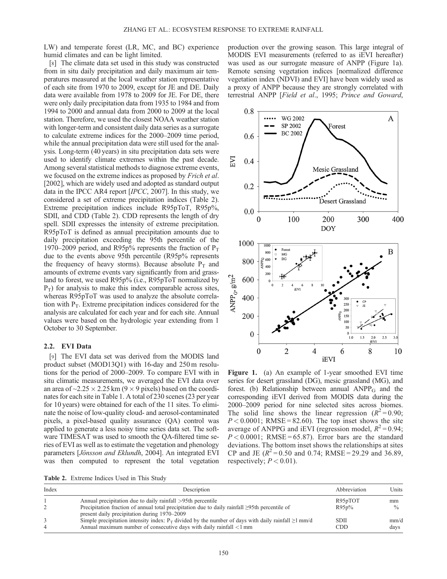LW) and temperate forest (LR, MC, and BC) experience humid climates and can be light limited.

[8] The climate data set used in this study was constructed from in situ daily precipitation and daily maximum air temperatures measured at the local weather station representative of each site from 1970 to 2009, except for JE and DE. Daily data were available from 1978 to 2009 for JE. For DE, there were only daily precipitation data from 1935 to 1984 and from 1994 to 2000 and annual data from 2000 to 2009 at the local station. Therefore, we used the closest NOAA weather station with longer-term and consistent daily data series as a surrogate to calculate extreme indices for the 2000–2009 time period, while the annual precipitation data were still used for the analysis. Long-term (40 years) in situ precipitation data sets were used to identify climate extremes within the past decade. Among several statistical methods to diagnose extreme events, we focused on the extreme indices as proposed by Frich et al. [2002], which are widely used and adopted as standard output data in the IPCC AR4 report [IPCC, 2007]. In this study, we considered a set of extreme precipitation indices (Table 2). Extreme precipitation indices include R95pToT, R95p%, SDII, and CDD (Table 2). CDD represents the length of dry spell. SDII expresses the intensity of extreme precipitation. R95pToT is defined as annual precipitation amounts due to daily precipitation exceeding the 95th percentile of the 1970–2009 period, and R95p% represents the fraction of  $P_T$ due to the events above 95th percentile (R95p% represents the frequency of heavy storms). Because absolute  $P_T$  and amounts of extreme events vary significantly from arid grassland to forest, we used R95p% (i.e., R95pToT normalized by  $P_T$ ) for analysis to make this index comparable across sites, whereas R95pToT was used to analyze the absolute correlation with  $P_T$ . Extreme precipitation indices considered for the analysis are calculated for each year and for each site. Annual values were based on the hydrologic year extending from 1 October to 30 September.

# 2.2. EVI Data

[9] The EVI data set was derived from the MODIS land product subset (MOD13Q1) with 16-day and 250 m resolutions for the period of 2000–2009. To compare EVI with in situ climatic measurements, we averaged the EVI data over an area of  $\sim$ 2.25  $\times$  2.25 km (9  $\times$  9 pixels) based on the coordinates for each site in Table 1. A total of 230 scenes (23 per year for 10 years) were obtained for each of the 11 sites. To eliminate the noise of low-quality cloud- and aerosol-contaminated pixels, a pixel-based quality assurance (QA) control was applied to generate a less noisy time series data set. The software TIMESAT was used to smooth the QA-filtered time series of EVI as well as to estimate the vegetation and phenology parameters [Jönsson and Eklundh, 2004]. An integrated EVI was then computed to represent the total vegetation

production over the growing season. This large integral of MODIS EVI measurements (referred to as iEVI hereafter) was used as our surrogate measure of ANPP (Figure 1a). Remote sensing vegetation indices [normalized difference vegetation index (NDVI) and EVI] have been widely used as a proxy of ANPP because they are strongly correlated with terrestrial ANPP [Field et al., 1995; Prince and Goward,



Figure 1. (a) An example of 1-year smoothed EVI time series for desert grassland (DG), mesic grassland (MG), and forest. (b) Relationship between annual  $ANPP<sub>G</sub>$  and the corresponding iEVI derived from MODIS data during the 2000–2009 period for nine selected sites across biomes. The solid line shows the linear regression  $(R^2 = 0.90)$ ;  $P < 0.0001$ ; RMSE = 82.60). The top inset shows the site average of ANPPG and iEVI (regression model,  $R^2 = 0.94$ ;  $P < 0.0001$ ; RMSE = 65.87). Error bars are the standard deviations. The bottom inset shows the relationships at sites CP and JE  $(R^2 = 0.50$  and 0.74; RMSE = 29.29 and 36.89, respectively;  $P < 0.01$ ).

Table 2. Extreme Indices Used in This Study

| Index | Description                                                                                                                                                                        | Abbreviation              | Units         |
|-------|------------------------------------------------------------------------------------------------------------------------------------------------------------------------------------|---------------------------|---------------|
|       | Annual precipitation due to daily rainfall >95th percentile                                                                                                                        | R95pTOT                   | mm            |
|       | Precipitation fraction of annual total precipitation due to daily rainfall $\geq$ 95th percentile of<br>present daily precipitation during 1970–2009                               | R95p%                     | $\frac{0}{0}$ |
|       | Simple precipitation intensity index: $P_T$ divided by the number of days with daily rainfall $\geq 1$ mm/d<br>Annual maximum number of consecutive days with daily rainfall <1 mm | <b>SDII</b><br><b>CDD</b> | mm/d<br>days  |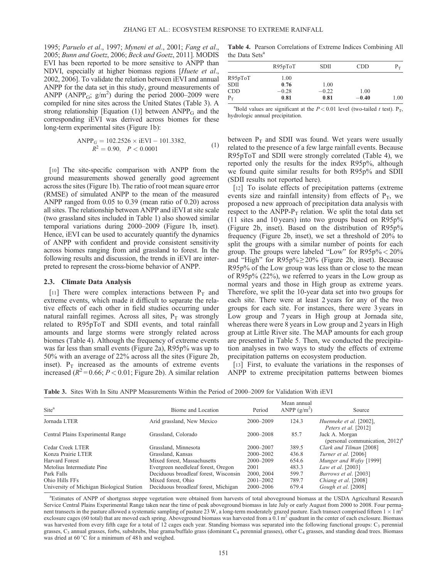1995; Paruelo et al., 1997; Myneni et al., 2001; Fang et al., 2005; Bunn and Goetz, 2006; Beck and Goetz, 2011]. MODIS EVI has been reported to be more sensitive to ANPP than NDVI, especially at higher biomass regions [Huete et al., 2002, 2006]. To validate the relation between iEVI and annual ANPP for the data set in this study, ground measurements of ANPP (ANPP<sub>G</sub>;  $g/m<sup>2</sup>$ ) during the period 2000–2009 were compiled for nine sites across the United States (Table 3). A strong relationship [Equation (1)] between  $ANPP<sub>G</sub>$  and the corresponding iEVI was derived across biomes for these long-term experimental sites (Figure 1b):

$$
ANPPG = 102.2526 \times iEVI - 101.3382,R2 = 0.90, P < 0.0001
$$
 (1)

[10] The site-specific comparison with ANPP from the ground measurements showed generally good agreement across the sites (Figure 1b). The ratio of root mean square error (RMSE) of simulated ANPP to the mean of the measured ANPP ranged from 0.05 to 0.39 (mean ratio of 0.20) across all sites. The relationship between ANPP and iEVI at site scale (two grassland sites included in Table 1) also showed similar temporal variations during 2000–2009 (Figure 1b, inset). Hence, iEVI can be used to accurately quantify the dynamics of ANPP with confident and provide consistent sensitivity across biomes ranging from arid grassland to forest. In the following results and discussion, the trends in iEVI are interpreted to represent the cross-biome behavior of ANPP.

#### 2.3. Climate Data Analysis

[11] There were complex interactions between  $P_T$  and extreme events, which made it difficult to separate the relative effects of each other in field studies occurring under natural rainfall regimes. Across all sites,  $P_T$  was strongly related to R95pToT and SDII events, and total rainfall amounts and large storms were strongly related across biomes (Table 4). Although the frequency of extreme events was far less than small events (Figure 2a), R95p% was up to 50% with an average of 22% across all the sites (Figure 2b, inset).  $P_T$  increased as the amounts of extreme events increased ( $R^2$ =0.66;  $P$  < 0.01; Figure 2b). A similar relation

Table 4. Pearson Correlations of Extreme Indices Combining All the Data Sets<sup>a</sup>

|             | R95pToT | <b>SDII</b> | <b>CDD</b> | $P_{\rm T}$ |
|-------------|---------|-------------|------------|-------------|
| R95pToT     | 1.00    |             |            |             |
| <b>SDII</b> | 0.76    | 1.00        |            |             |
| <b>CDD</b>  | $-0.28$ | $-0.22$     | 1.00       |             |
| $P_T$       | 0.81    | 0.81        | $-0.40$    | 1.00        |

<sup>a</sup>Bold values are significant at the  $P < 0.01$  level (two-tailed t test). P<sub>T</sub>, hydrologic annual precipitation.

between  $P_T$  and SDII was found. Wet years were usually related to the presence of a few large rainfall events. Because R95pToT and SDII were strongly correlated (Table 4), we reported only the results for the index R95p%, although we found quite similar results for both R95p% and SDII (SDII results not reported here).

[12] To isolate effects of precipitation patterns (extreme events size and rainfall intensity) from effects of  $P_T$ , we proposed a new approach of precipitation data analysis with respect to the ANPP- $P_T$  relation. We split the total data set (11 sites and 10 years) into two groups based on R95p% (Figure 2b, inset). Based on the distribution of R95p% frequency (Figure 2b, inset), we set a threshold of 20% to split the groups with a similar number of points for each group. The groups were labeled "Low" for  $R95p\% < 20\%$ and "High" for  $R95p\% \ge 20\%$  (Figure 2b, inset). Because R95p% of the Low group was less than or close to the mean of R95p% (22%), we referred to years in the Low group as normal years and those in High group as extreme years. Therefore, we split the 10-year data set into two groups for each site. There were at least 2 years for any of the two groups for each site. For instances, there were 3 years in Low group and 7 years in High group at Jornada site, whereas there were 8 years in Low group and 2 years in High group at Little River site. The MAP amounts for each group are presented in Table 5. Then, we conducted the precipitation analyses in two ways to study the effects of extreme precipitation patterns on ecosystem production.

[13] First, to evaluate the variations in the responses of ANPP to extreme precipitation patterns between biomes

Table 3. Sites With In Situ ANPP Measurements Within the Period of 2000–2009 for Validation With iEVI

| Site <sup>a</sup>                         | Biome and Location                    | Period        | Mean annual<br>ANPP $(g/m^2)$ | Source                                                           |
|-------------------------------------------|---------------------------------------|---------------|-------------------------------|------------------------------------------------------------------|
| Jornada LTER                              | Arid grassland, New Mexico            | $2000 - 2009$ | 124.3                         | Huenneke et al. [2002],<br>Peters et al. [2012]                  |
| Central Plains Experimental Range         | Grassland, Colorado                   | $2000 - 2008$ | 85.7                          | Jack A. Morgan<br>(personal communication, $2012$ ) <sup>a</sup> |
| Cedar Creek LTER                          | Grassland, Minnesota                  | $2000 - 2007$ | 389.5                         | Clark and Tilman [2008]                                          |
| Konza Prairie LTER                        | Grassland, Kansas                     | $2000 - 2002$ | 436.8                         | Turner et al. [2006]                                             |
| Harvard Forest                            | Mixed forest, Massachusetts           | $2000 - 2009$ | 654.6                         | Munger and Wofsy [1999]                                          |
| Metolius Intermediate Pine                | Evergreen needleleaf forest, Oregon   | 2001          | 483.3                         | Law et al. [2003]                                                |
| Park Falls                                | Deciduous broadleaf forest, Wisconsin | 2000, 2004    | 599.7                         | Burrows et al. [2003]                                            |
| Ohio Hills FFs                            | Mixed forest, Ohio                    | $2001 - 2002$ | 789.7                         | Chiang et al. [2008]                                             |
| University of Michigan Biological Station | Deciduous broadleaf forest, Michigan  | $2000 - 2006$ | 679.4                         | Gough et al. [2008]                                              |

a Estimates of ANPP of shortgrass steppe vegetation were obtained from harvests of total aboveground biomass at the USDA Agricultural Research Service Central Plains Experimental Range taken near the time of peak aboveground biomass in late July or early August from 2000 to 2008. Four permanent transects in the pasture allowed a systematic sampling of pasture 23 W, a long-term moderately grazed pasture. Each transect comprised fifteen  $1 \times 1$  m<sup>2</sup> exclosure cages (60 total) that are moved each spring. Aboveground biomass was harvested from a  $0.1 \text{ m}^2$  quadrant in the center of each exclosure. Biomass was harvested from every fifth cage for a total of 12 cages each year. Standing biomass was separated into the following functional groups: C<sub>3</sub> perennial grasses,  $C_3$  annual grasses, forbs, subshrubs, blue grama/buffalo grass (dominant  $C_4$  perennial grasses), other  $C_4$  grasses, and standing dead trees. Biomass was dried at 60 °C for a minimum of 48 h and weighed.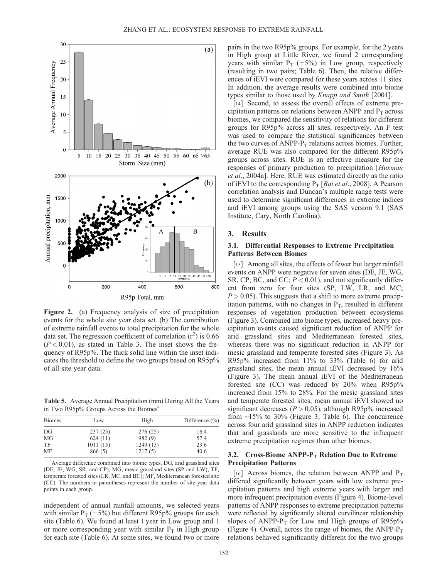

Figure 2. (a) Frequency analysis of size of precipitation events for the whole site year data set. (b) The contribution of extreme rainfall events to total precipitation for the whole data set. The regression coefficient of correlation  $(r^2)$  is 0.66  $(P < 0.01)$ , as stated in Table 3. The inset shows the frequency of R95p%. The thick solid line within the inset indicates the threshold to define the two groups based on R95p% of all site year data.

Table 5. Average Annual Precipitation (mm) During All the Years in Two R95p% Groups Across the Biomes<sup>a</sup>

| <b>Biomes</b> | Low      | High     | Difference $(\% )$ |  |  |
|---------------|----------|----------|--------------------|--|--|
| DG            | 237(25)  | 276(25)  | 16.4               |  |  |
| MG            | 624(11)  | 982 (9)  | 57.4               |  |  |
| TF            | 1011(15) | 1249(15) | 23.6               |  |  |
| MF            | 866 (5)  | 1217(5)  | 40.6               |  |  |

<sup>a</sup> Average difference combined into biome types. DG, arid grassland sites (DE, JE, WG, SR, and CP); MG, mesic grassland sites (SP and LW); TF, temperate forested sites (LR, MC, and BC); MF, Mediterranean forested site (CC). The numbers in parentheses represent the number of site year data points in each group.

independent of annual rainfall amounts, we selected years with similar  $P_T (\pm 5\%)$  but different R95p% groups for each site (Table 6). We found at least 1 year in Low group and 1 or more corresponding year with similar  $P_T$  in High group for each site (Table 6). At some sites, we found two or more pairs in the two R95p% groups. For example, for the 2 years in High group at Little River, we found 2 corresponding years with similar  $P_T$  ( $\pm 5\%$ ) in Low group, respectively (resulting in two pairs; Table 6). Then, the relative differences of iEVI were compared for these years across 11 sites. In addition, the average results were combined into biome types similar to those used by Knapp and Smith [2001].

[14] Second, to assess the overall effects of extreme precipitation patterns on relations between ANPP and  $P_T$  across biomes, we compared the sensitivity of relations for different groups for R95p% across all sites, respectively. An F test was used to compare the statistical significances between the two curves of ANPP- $P_T$  relations across biomes. Further, average RUE was also compared for the different R95p% groups across sites. RUE is an effective measure for the responses of primary production to precipitation [Huxman et al., 2004a]. Here, RUE was estimated directly as the ratio of iEVI to the corresponding  $P_T$  [*Bai et al.*, 2008]. A Pearson correlation analysis and Duncan's multiple range tests were used to determine significant differences in extreme indices and iEVI among groups using the SAS version 9.1 (SAS Institute, Cary, North Carolina).

## 3. Results

# 3.1. Differential Responses to Extreme Precipitation Patterns Between Biomes

[15] Among all sites, the effects of fewer but larger rainfall events on ANPP were negative for seven sites (DE, JE, WG, SR, CP, BC, and CC;  $P < 0.01$ ), and not significantly different from zero for four sites (SP, LW, LR, and MC;  $P > 0.05$ ). This suggests that a shift to more extreme precipitation patterns, with no changes in  $P_T$ , resulted in different responses of vegetation production between ecosystems (Figure 3). Combined into biome types, increased heavy precipitation events caused significant reduction of ANPP for arid grassland sites and Mediterranean forested sites, whereas there was no significant reduction in ANPP for mesic grassland and temperate forested sites (Figure 3). As R95p% increased from 11% to 33% (Table 6) for arid grassland sites, the mean annual iEVI decreased by 16% (Figure 3). The mean annual iEVI of the Mediterranean forested site (CC) was reduced by 20% when R95p% increased from 15% to 28%. For the mesic grassland sites and temperate forested sites, mean annual iEVI showed no significant decreases ( $P > 0.05$ ), although R95p% increased from  $~15\%$  to 30% (Figure 3; Table 6). The concurrence across four arid grassland sites in ANPP reduction indicates that arid grasslands are more sensitive to the infrequent extreme precipitation regimes than other biomes.

## 3.2. Cross-Biome ANPP- $P_T$  Relation Due to Extreme Precipitation Patterns

[16] Across biomes, the relation between ANPP and  $P_T$ differed significantly between years with low extreme precipitation patterns and high extreme years with larger and more infrequent precipitation events (Figure 4). Biome-level patterns of ANPP responses to extreme precipitation patterns were reflected by significantly altered curvilinear relationship slopes of ANPP- $P_T$  for Low and High groups of R95p% (Figure 4). Overall, across the range of biomes, the ANPP- $P_T$ relations behaved significantly different for the two groups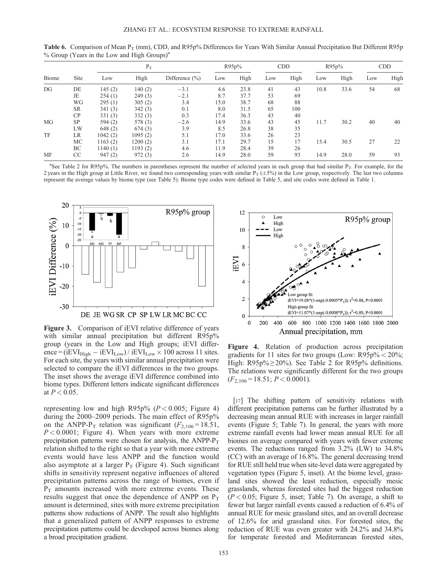|           | $\sim$    |          |         |                    |       |      |            |      |       |      |            |      |
|-----------|-----------|----------|---------|--------------------|-------|------|------------|------|-------|------|------------|------|
|           |           | $P_T$    |         |                    | R95p% |      | <b>CDD</b> |      | R95p% |      | <b>CDD</b> |      |
| Biome     | Site      | Low      | High    | Difference $(\% )$ | Low   | High | Low        | High | Low   | High | Low        | High |
| DG        | DE        | 145(2)   | 140(2)  | $-3.1$             | 4.6   | 23.8 | 41         | 43   | 10.8  | 33.6 | 54         | 68   |
|           | JE        | 254(1)   | 249(3)  | $-2.1$             | 8.7   | 37.7 | 53         | 69   |       |      |            |      |
|           | WG        | 295(1)   | 305(2)  | 3.4                | 15.0  | 38.7 | 68         | 88   |       |      |            |      |
|           | <b>SR</b> | 341(3)   | 342(3)  | 0.1                | 8.0   | 31.5 | 65         | 100  |       |      |            |      |
|           | CP        | 331(3)   | 332(3)  | 0.3                | 17.4  | 36.3 | 43         | 40   |       |      |            |      |
| MG        | <b>SP</b> | 594 (2)  | 578 (3) | $-2.6$             | 14.9  | 33.6 | 43         | 45   | 11.7  | 30.2 | 40         | 40   |
|           | LW        | 648(2)   | 674(3)  | 3.9                | 8.5   | 26.8 | 38         | 35   |       |      |            |      |
| <b>TF</b> | LR        | 1042(2)  | 1095(2) | 5.1                | 17.0  | 33.6 | 26         | 23   |       |      |            |      |
|           | MC        | 1163(2)  | 1200(2) | 3.1                | 17.1  | 29.7 | 15         | 17   | 15.4  | 30.5 | 27         | 22   |
|           | BC        | 1140 (1) | 1193(2) | 4.6                | 11.9  | 28.4 | 39         | 26   |       |      |            |      |
| MF        | CC        | 947(2)   | 972(3)  | 2.6                | 14.9  | 28.0 | 59         | 93   | 14.9  | 28.0 | 59         | 93   |

Table 6. Comparison of Mean  $P_T$  (mm), CDD, and R95p% Differences for Years With Similar Annual Precipitation But Different R95p  $%$  Group (Years in the Low and High Groups)<sup>a</sup>

<sup>a</sup>See Table 2 for R95p%. The numbers in parentheses represent the number of selected years in each group that had similar P<sub>T</sub>. For example, for the 2 years in the High group at Little River, we found two corresponding years with similar  $P_T (\pm 5\%)$  in the Low group, respectively. The last two columns represent the average values by biome type (see Table 5). Biome type codes were defined in Table 5, and site codes were defined in Table 1.



Figure 3. Comparison of iEVI relative difference of years with similar annual precipitation but different R95p% group (years in the Low and High groups; iEVI difference =  $(iEVI<sub>High</sub> - iEVI<sub>Low</sub>) / iEVI<sub>Low</sub> × 100 across 11 sites.$ For each site, the years with similar annual precipitation were selected to compare the iEVI differences in the two groups. The inset shows the average iEVI difference combined into biome types. Different letters indicate significant differences at  $P < 0.05$ .

representing low and high R95p% ( $P < 0.005$ ; Figure 4) during the 2000–2009 periods. The main effect of R95p% on the ANPP-P<sub>T</sub> relation was significant ( $F_{2,106} = 18.51$ ,  $P < 0.0001$ ; Figure 4). When years with more extreme precipitation patterns were chosen for analysis, the ANPP- $P_T$ relation shifted to the right so that a year with more extreme events would have less ANPP and the function would also asymptote at a larger  $P_T$  (Figure 4). Such significant shifts in sensitivity represent negative influences of altered precipitation patterns across the range of biomes, even if  $P_T$  amounts increased with more extreme events. These results suggest that once the dependence of ANPP on  $P_T$ amount is determined, sites with more extreme precipitation patterns show reductions of ANPP. The result also highlights that a generalized pattern of ANPP responses to extreme precipitation patterns could be developed across biomes along a broad precipitation gradient.



Figure 4. Relation of production across precipitation gradients for 11 sites for two groups (Low:  $R95p\% < 20\%;$ High:  $R95p\% \ge 20\%$ ). See Table 2 for  $R95p\%$  definitions. The relations were significantly different for the two groups  $(F_{2,106} = 18.51; P < 0.0001).$ 

[17] The shifting pattern of sensitivity relations with different precipitation patterns can be further illustrated by a decreasing mean annual RUE with increases in larger rainfall events (Figure 5; Table 7). In general, the years with more extreme rainfall events had lower mean annual RUE for all biomes on average compared with years with fewer extreme events. The reductions ranged from 3.2% (LW) to 34.8% (CC) with an average of 16.8%. The general decreasing trend for RUE still held true when site-level data were aggregated by vegetation types (Figure 5, inset). At the biome level, grassland sites showed the least reduction, especially mesic grasslands, whereas forested sites had the biggest reduction  $(P < 0.05$ ; Figure 5, inset; Table 7). On average, a shift to fewer but larger rainfall events caused a reduction of 6.4% of annual RUE for mesic grassland sites, and an overall decrease of 12.6% for arid grassland sites. For forested sites, the reduction of RUE was even greater with 24.2% and 34.8% for temperate forested and Mediterranean forested sites,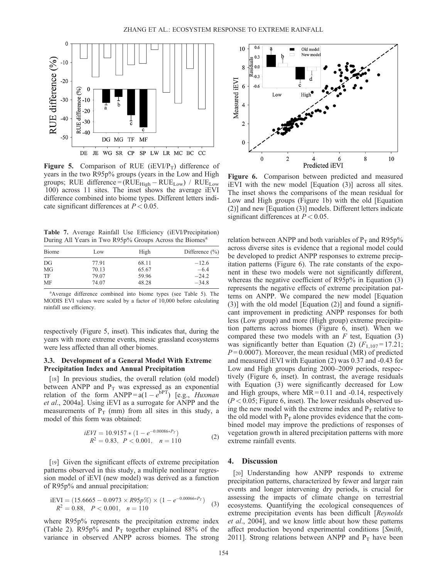

Figure 5. Comparison of RUE ( $iEVI/P_T$ ) difference of years in the two R95p% groups (years in the Low and High groups; RUE difference =  $(RUE_{High} - RUE_{Low})$  /  $RUE_{Low}$ 100) across 11 sites. The inset shows the average iEVI difference combined into biome types. Different letters indicate significant differences at  $P < 0.05$ .

Table 7. Average Rainfall Use Efficiency (iEVI/Precipitation) During All Years in Two R95p% Groups Across the Biomes<sup>a</sup>

| Low   | High  | Difference $(\% )$ |  |  |
|-------|-------|--------------------|--|--|
| 77.91 | 68.11 | $-12.6$            |  |  |
| 70.13 | 65.67 | $-6.4$             |  |  |
| 79.07 | 59.96 | $-24.2$            |  |  |
| 74.07 | 48.28 | $-34.8$            |  |  |
|       |       |                    |  |  |

a Average difference combined into biome types (see Table 5). The MODIS EVI values were scaled by a factor of 10,000 before calculating rainfall use efficiency.

respectively (Figure 5, inset). This indicates that, during the years with more extreme events, mesic grassland ecosystems were less affected than all other biomes.

# 3.3. Development of a General Model With Extreme Precipitation Index and Annual Precipitation

[18] In previous studies, the overall relation (old model) between ANPP and  $P_T$  was expressed as an exponential relation of the form  $ANDP = a(1 - e^{bPT})$  [e.g., *Huxman*] et al., 2004a]. Using iEVI as a surrogate for ANPP and the measurements of  $P_T$  (mm) from all sites in this study, a model of this form was obtained:

$$
iEVI = 10.9157 * (1 - e^{-0.00086*Pr})
$$
  
\n
$$
R^2 = 0.83, \quad P < 0.001, \quad n = 110
$$
\n(2)

[19] Given the significant effects of extreme precipitation patterns observed in this study, a multiple nonlinear regression model of iEVI (new model) was derived as a function of R95p% and annual precipitation:

$$
iEVI = (15.6665 - 0.0973 \times R95p\%) \times (1 - e^{-0.00066*P_T})
$$
  
\n
$$
R^2 = 0.88, \quad P < 0.001, \quad n = 110
$$
\n(3)

where R95p% represents the precipitation extreme index (Table 2). R95p% and  $P_T$  together explained 88% of the variance in observed ANPP across biomes. The strong



Figure 6. Comparison between predicted and measured iEVI with the new model [Equation (3)] across all sites. The inset shows the comparisons of the mean residual for Low and High groups (Figure 1b) with the old [Equation (2)] and new [Equation (3)] models. Different letters indicate significant differences at  $P < 0.05$ .

relation between ANPP and both variables of  $P_T$  and R95p% across diverse sites is evidence that a regional model could be developed to predict ANPP responses to extreme precipitation patterns (Figure 6). The rate constants of the exponent in these two models were not significantly different, whereas the negative coefficient of R95p% in Equation (3) represents the negative effects of extreme precipitation patterns on ANPP. We compared the new model [Equation (3)] with the old model [Equation (2)] and found a significant improvement in predicting ANPP responses for both less (Low group) and more (High group) extreme precipitation patterns across biomes (Figure 6, inset). When we compared these two models with an  $F$  test, Equation (3) was significantly better than Equation (2)  $(F_{1,107} = 17.21)$ ;  $P = 0.0007$ ). Moreover, the mean residual (MR) of predicted and measured iEVI with Equation (2) was 0.37 and -0.43 for Low and High groups during 2000–2009 periods, respectively (Figure 6, inset). In contrast, the average residuals with Equation (3) were significantly decreased for Low and High groups, where  $MR = 0.11$  and  $-0.14$ , respectively  $(P < 0.05$ ; Figure 6, inset). The lower residuals observed using the new model with the extreme index and  $P_T$  relative to the old model with  $P_T$  alone provides evidence that the combined model may improve the predictions of responses of vegetation growth in altered precipitation patterns with more extreme rainfall events.

# 4. Discussion

[20] Understanding how ANPP responds to extreme precipitation patterns, characterized by fewer and larger rain events and longer intervening dry periods, is crucial for assessing the impacts of climate change on terrestrial ecosystems. Quantifying the ecological consequences of extreme precipitation events has been difficult [Reynolds] et al., 2004], and we know little about how these patterns affect production beyond experimental conditions [Smith, 2011]. Strong relations between ANPP and  $P_T$  have been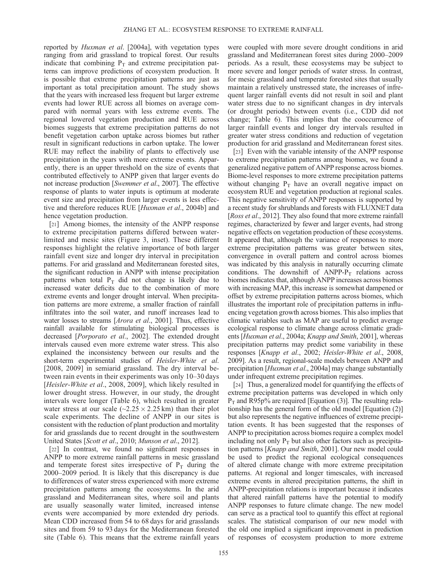reported by Huxman et al. [2004a], with vegetation types ranging from arid grassland to tropical forest. Our results indicate that combining  $P_T$  and extreme precipitation patterns can improve predictions of ecosystem production. It is possible that extreme precipitation patterns are just as important as total precipitation amount. The study shows that the years with increased less frequent but larger extreme events had lower RUE across all biomes on average compared with normal years with less extreme events. The regional lowered vegetation production and RUE across biomes suggests that extreme precipitation patterns do not benefit vegetation carbon uptake across biomes but rather result in significant reductions in carbon uptake. The lower RUE may reflect the inability of plants to effectively use precipitation in the years with more extreme events. Apparently, there is an upper threshold on the size of events that contributed effectively to ANPP given that larger events do not increase production [Swemmer et al., 2007]. The effective response of plants to water inputs is optimum at moderate event size and precipitation from larger events is less effective and therefore reduces RUE [Huxman et al., 2004b] and hence vegetation production.

[21] Among biomes, the intensity of the ANPP response to extreme precipitation patterns differed between waterlimited and mesic sites (Figure 3, inset). These different responses highlight the relative importance of both larger rainfall event size and longer dry interval in precipitation patterns. For arid grassland and Mediterranean forested sites, the significant reduction in ANPP with intense precipitation patterns when total  $P_T$  did not change is likely due to increased water deficits due to the combination of more extreme events and longer drought interval. When precipitation patterns are more extreme, a smaller fraction of rainfall infiltrates into the soil water, and runoff increases lead to water losses to streams [Arora et al., 2001]. Thus, effective rainfall available for stimulating biological processes is decreased [Porporato et al., 2002]. The extended drought intervals caused even more extreme water stress. This also explained the inconsistency between our results and the short-term experimental studies of Heisler-White et al. [2008, 2009] in semiarid grassland. The dry interval between rain events in their experiments was only 10–30 days [Heisler-White et al., 2008, 2009], which likely resulted in lower drought stress. However, in our study, the drought intervals were longer (Table 6), which resulted in greater water stress at our scale ( $\sim$ 2.25  $\times$  2.25 km) than their plot scale experiments. The decline of ANPP in our sites is consistent with the reduction of plant production and mortality for arid grasslands due to recent drought in the southwestern United States [Scott et al., 2010; Munson et al., 2012].

[22] In contrast, we found no significant responses in ANPP to more extreme rainfall patterns in mesic grassland and temperate forest sites irrespective of  $P_T$  during the 2000–2009 period. It is likely that this discrepancy is due to differences of water stress experienced with more extreme precipitation patterns among the ecosystems. In the arid grassland and Mediterranean sites, where soil and plants are usually seasonally water limited, increased intense events were accompanied by more extended dry periods. Mean CDD increased from 54 to 68 days for arid grasslands sites and from 59 to 93 days for the Mediterranean forested site (Table 6). This means that the extreme rainfall years

were coupled with more severe drought conditions in arid grassland and Mediterranean forest sites during 2000–2009 periods. As a result, these ecosystems may be subject to more severe and longer periods of water stress. In contrast, for mesic grassland and temperate forested sites that usually maintain a relatively unstressed state, the increases of infrequent larger rainfall events did not result in soil and plant water stress due to no significant changes in dry intervals (or drought periods) between events (i.e., CDD did not change; Table 6). This implies that the cooccurrence of larger rainfall events and longer dry intervals resulted in greater water stress conditions and reduction of vegetation production for arid grassland and Mediterranean forest sites.

[23] Even with the variable intensity of the ANPP response to extreme precipitation patterns among biomes, we found a generalized negative pattern of ANPP response across biomes. Biome-level responses to more extreme precipitation patterns without changing  $P_T$  have an overall negative impact on ecosystem RUE and vegetation production at regional scales. This negative sensitivity of ANPP responses is supported by a recent study for shrublands and forests with FLUXNET data [Ross et al., 2012]. They also found that more extreme rainfall regimes, characterized by fewer and larger events, had strong negative effects on vegetation production of these ecosystems. It appeared that, although the variance of responses to more extreme precipitation patterns was greater between sites, convergence in overall pattern and control across biomes was indicated by this analysis in naturally occurring climate conditions. The downshift of  $ANPP-P_T$  relations across biomes indicates that, although ANPP increases across biomes with increasing MAP, this increase is somewhat dampened or offset by extreme precipitation patterns across biomes, which illustrates the important role of precipitation patterns in influencing vegetation growth across biomes. This also implies that climatic variables such as MAP are useful to predict average ecological response to climate change across climatic gradients [Huxman et al., 2004a; Knapp and Smith, 2001], whereas precipitation patterns may predict some variability in these responses [Knapp et al., 2002; Heisler-White et al., 2008, 2009]. As a result, regional-scale models between ANPP and precipitation [Huxman et al., 2004a] may change substantially under infrequent extreme precipitation regimes.

[24] Thus, a generalized model for quantifying the effects of extreme precipitation patterns was developed in which only  $P_T$  and R95p% are required [Equation (3)]. The resulting relationship has the general form of the old model [Equation (2)] but also represents the negative influences of extreme precipitation events. It has been suggested that the responses of ANPP to precipitation across biomes require a complex model including not only  $P_T$  but also other factors such as precipitation patterns [Knapp and Smith, 2001]. Our new model could be used to predict the regional ecological consequences of altered climate change with more extreme precipitation patterns. At regional and longer timescales, with increased extreme events in altered precipitation patterns, the shift in ANPP-precipitation relations is important because it indicates that altered rainfall patterns have the potential to modify ANPP responses to future climate change. The new model can serve as a practical tool to quantify this effect at regional scales. The statistical comparison of our new model with the old one implied a significant improvement in prediction of responses of ecosystem production to more extreme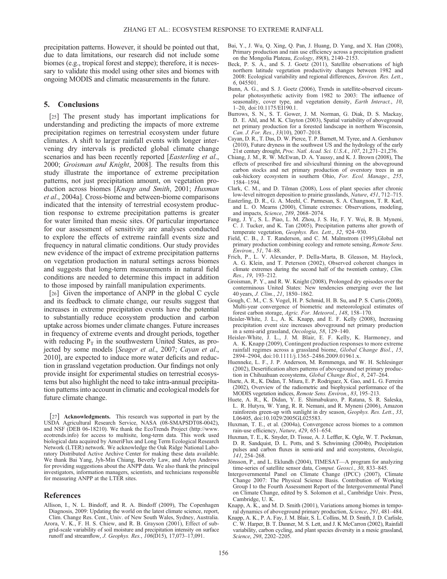precipitation patterns. However, it should be pointed out that, due to data limitations, our research did not include some biomes (e.g., tropical forest and steppe); therefore, it is necessary to validate this model using other sites and biomes with ongoing MODIS and climatic measurements in the future.

# 5. Conclusions

[25] The present study has important implications for understanding and predicting the impacts of more extreme precipitation regimes on terrestrial ecosystem under future climates. A shift to larger rainfall events with longer intervening dry intervals is predicted global climate change scenarios and has been recently reported [Easterling et al., 2000; Groisman and Knight, 2008]. The results from this study illustrate the importance of extreme precipitation patterns, not just precipitation amount, on vegetation production across biomes [Knapp and Smith, 2001; Huxman et al., 2004a]. Cross-biome and between-biome comparisons indicated that the intensity of terrestrial ecosystem production response to extreme precipitation patterns is greater for water limited than mesic sites. Of particular importance for our assessment of sensitivity are analyses conducted to explore the effects of extreme rainfall events size and frequency in natural climatic conditions. Our study provides new evidence of the impact of extreme precipitation patterns on vegetation production in natural settings across biomes and suggests that long-term measurements in natural field conditions are needed to determine this impact in addition to those imposed by rainfall manipulation experiments.

[26] Given the importance of ANPP in the global C cycle and its feedback to climate change, our results suggest that increases in extreme precipitation events have the potential to substantially reduce ecosystem production and carbon uptake across biomes under climate changes. Future increases in frequency of extreme events and drought periods, together with reducing  $P_T$  in the southwestern United States, as projected by some models [Seager et al., 2007; Cayan et al., 2010], are expected to induce more water deficits and reduction in grassland vegetation production. Our findings not only provide insight for experimental studies on terrestrial ecosystems but also highlight the need to take intra-annual precipitation patterns into account in climatic and ecological models for future climate change.

[27] Acknowledgments. This research was supported in part by the USDA Agricultural Research Service, NASA (08-SMAPSDT08-0042), and NSF (DEB 06-18210). We thank the EcoTrends Project [\(http://www.](http://www.ecotrends.info) [ecotrends.info\)](http://www.ecotrends.info) for access to multisite, long-term data. This work used biological data acquired by AmeriFlux and Long Term Ecological Research Network (LTER) network. We acknowledge the Oak Ridge National Laboratory Distributed Active Archive Center for making these data available. We thank Bai Yang, Jyh-Min Chiang, Beverly Law, and Arlyn Andrews for providing suggestions about the ANPP data. We also thank the principal investigators, information managers, scientists, and technicians responsible for measuring ANPP at the LTER sites.

#### References

- Allison, I., N. L. Bindoff, and R. A. Bindoff (2009), The Copenhagen Diagnosis, 2009: Updating the world on the latest climate science, report, Clim. Change Res. Cent., Univ. of New South Wales, Sydney, Australia.
- Arora, V. K., F. H. S. Chiew, and R. B. Grayson (2001), Effect of subgrid-scale variability of soil moisture and precipitation intensity on surface runoff and streamflow, J. Geophys. Res., 106(D15), 17,073–17,091.
- Bai, Y., J. Wu, Q. Xing, Q. Pan, J. Huang, D. Yang, and X. Han (2008), Primary production and rain use efficiency across a precipitation gradient on the Mongolia Plateau, Ecology, 89(8), 2140–2153.
- Beck, P. S. A., and S. J. Goetz (2011), Satellite observations of high northern latitude vegetation productivity changes between 1982 and 2008: Ecological variability and regional differences, Environ. Res. Lett., 6, 045501.
- Bunn, A. G., and S. J. Goetz (2006), Trends in satellite-observed circumpolar photosynthetic activity from 1982 to 2003: The influence of seasonality, cover type, and vegetation density, Earth Interact., 10, 1–20, doi:10.1175/EI190.1.
- Burrows, S. N., S. T. Gower, J. M. Norman, G. Diak, D. S. Mackay, D. E. Ahl, and M. K. Clayton (2003), Spatial variability of aboveground net primary production for a forested landscape in northern Wisconsin, Can. J. For. Res., 33(10), 2007–2018.
- Cayan, D. R., T. Das, D. W. Pierce, T. P. Barnett, M. Tyree, and A. Gershunov (2010), Future dryness in the southwest US and the hydrology of the early 21st century drought, Proc. Natl. Acad. Sci. U.S.A., 107, 21,271–21,276.
- Chiang, J. M., R. W. McEwan, D. A. Yaussy, and K. J. Brown (2008), The effects of prescribed fire and silvicultural thinning on the aboveground carbon stocks and net primary production of overstory trees in an oak-hickory ecosystem in southern Ohio, For. Ecol. Manage., 255, 1584–1594.
- Clark, C. M., and D. Tilman (2008), Loss of plant species after chronic low-level nitrogen deposition to prairie grasslands, Nature, 451, 712–715.
- Easterling, D. R., G. A. Meehl, C. Parmesan, S. A. Changnon, T. R. Karl, and L. O. Mearns (2000), Climate extremes: Observations, modeling, and impacts, Science, 289, 2068–2074.
- Fang, J. Y., S. L. Piao, L. M. Zhou, J. S. He, F. Y. Wei, R. B. Myneni, C. J. Tucker, and K. Tan (2005), Precipitation patterns alter growth of temperate vegetation, Geophys. Res. Lett., 32, 924-930.
- Field, C. B., J. T. Randerson, and C. M. Malmstrom (1995),Global net primary production combining ecology and remote sensing, Remote Sens. Environ., 51, 74–88.
- Frich, P., L. V. Alexander, P. Della-Marta, B. Gleason, M. Haylock, A. G. Klein, and T. Peterson (2002), Observed coherent changes in climate extremes during the second half of the twentieth century, Clim. Res., 19, 193–212.
- Groisman, P. Y., and R. W. Knight (2008), Prolonged dry episodes over the conterminous United States: New tendencies emerging over the last 40 years, J. Clim., 21, 1850–1862.
- Gough, C. M., C. S. Vogel, H. P. Schmid, H. B. Su, and P. S. Curtis (2008), Multi-year convergence of biometric and meteorological estimates of forest carbon storage, Agric. For. Meteorol., 148, 158–170.
- Heisler-White, J. L., A. K. Knapp, and E. F. Kelly (2008), Increasing precipitation event size increases aboveground net primary production in a semi-arid grassland, Oecologia, 58, 129-140.
- Heisler-White, J. L., J. M. Blair, E. F. Kelly, K. Harmoney, and A. K. Knapp (2009), Contingent production responses to more extreme rainfall regimes across a grassland biome, Global Change Biol., 15, 2894–2904, doi:10.1111/j.1365–2486.2009.01961.x.
- Huenneke, L. F., J. P. Anderson, M. Remmenga, and W. H. Schlesinger (2002), Desertification alters patterns of aboveground net primary production in Chihuahuan ecosystems, Global Change Biol., 8, 247–264.
- Huete, A. R., K. Didan, T. Miura, E. P. Rodriguez, X. Gao, and L. G. Ferreira (2002), Overview of the radiometric and biophysical performance of the MODIS vegetation indices, Remote Sens. Environ., 83, 195–213.
- Huete, A. R., K. Didan, Y. E. Shimabukuro, P. Ratana, S. R. Saleska, L. R. Hutyra, W. Yang, R. R. Nemani, and R. Myneni (2006), Amazon rainforests green-up with sunlight in dry season, Geophys. Res. Lett., 33, L06405, doi:10.1029/2005GL025583.
- Huxman, T. E., et al. (2004a), Convergence across biomes to a common rain-use efficiency, Nature, 429, 651–654.
- Huxman, T. E., K. Snyder, D. Tissue, A. J. Leffler, K. Ogle, W. T. Pockman, D. R. Sandquist, D. L. Potts, and S. Schwinning (2004b), Precipitation pulses and carbon fluxes in semi-arid and arid ecosystems, Oecologia, 141, 254–268.
- Jönsson, P., and L. Eklundh (2004), TIMESAT—A program for analyzing time-series of satellite sensor data, Comput. Geosci., 30, 833–845.
- Intergovernmental Panel on Climate Change (IPCC) (2007), Climate Change 2007: The Physical Science Basis. Contribution of Working Group I to the Fourth Assessment Report of the Intergovernmental Panel on Climate Change, edited by S. Solomon et al., Cambridge Univ. Press, Cambridge, U. K.
- Knapp, A. K., and M. D. Smith (2001), Variations among biomes in temporal dynamics of aboveground primary production, Science, 291, 481–484.
- Knapp, A. K., P. A. Fay, J. M. Blair, S. L. Collins, M. D. Smith, J. D. Carlisle, C. W. Harper, B. T. Danner, M. S. Lett, and J. K McCarron (2002), Rainfall variability, carbon cycling, and plant species diversity in a mesic grassland, Science, 298, 2202–2205.